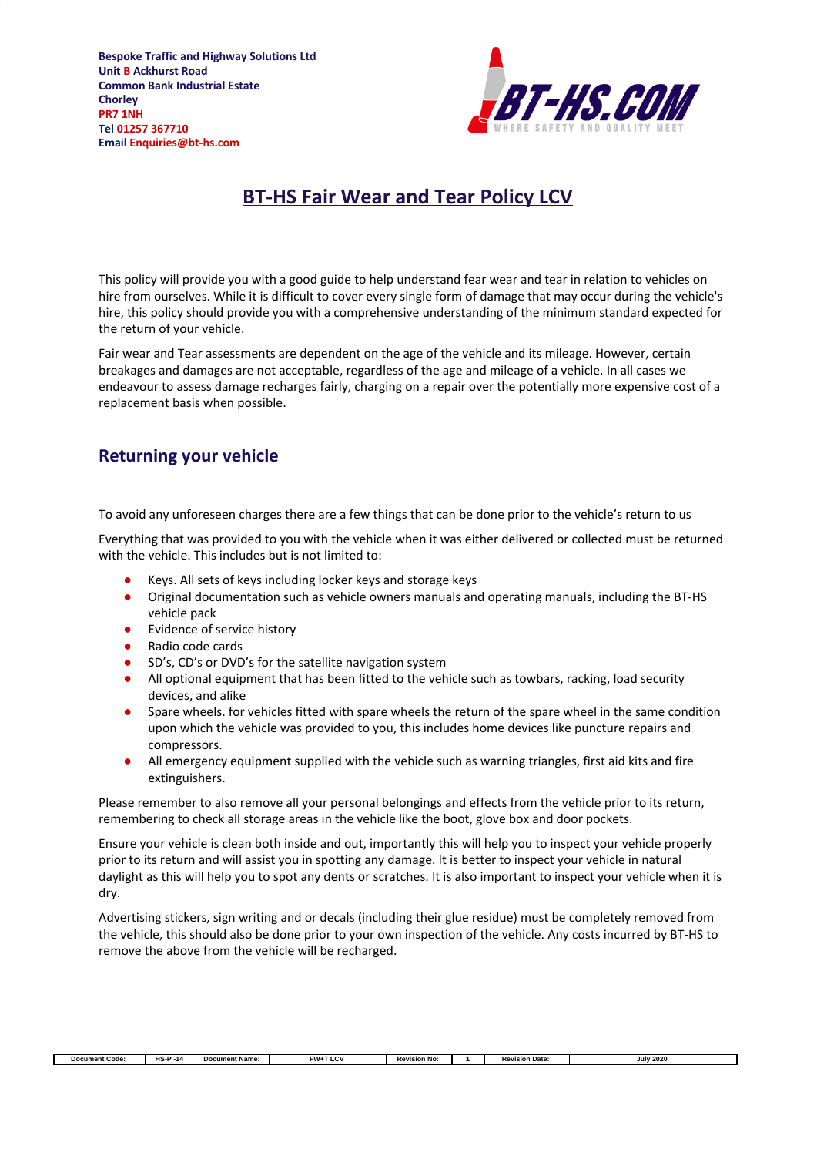

#### **BT-HS Fair Wear and Tear Policy LCV**

This policy will provide you with a good guide to help understand fear wear and tear in relation to vehicles on hire from ourselves. While it is difficult to cover every single form of damage that may occur during the vehicle's hire, this policy should provide you with a comprehensive understanding of the minimum standard expected for the return of your vehicle.

Fair wear and Tear assessments are dependent on the age of the vehicle and its mileage. However, certain breakages and damages are not acceptable, regardless of the age and mileage of a vehicle. In all cases we endeavour to assess damage recharges fairly, charging on a repair over the potentially more expensive cost of a replacement basis when possible.

#### **Returning your vehicle**

To avoid any unforeseen charges there are a few things that can be done prior to the vehicle's return to us

Everything that was provided to you with the vehicle when it was either delivered or collected must be returned with the vehicle. This includes but is not limited to:

- Keys. All sets of keys including locker keys and storage keys
- Original documentation such as vehicle owners manuals and operating manuals, including the BT-HS vehicle pack
- Evidence of service history
- Radio code cards
- SD's, CD's or DVD's for the satellite navigation system
- All optional equipment that has been fitted to the vehicle such as towbars, racking, load security devices, and alike
- Spare wheels. for vehicles fitted with spare wheels the return of the spare wheel in the same condition upon which the vehicle was provided to you, this includes home devices like puncture repairs and compressors.
- All emergency equipment supplied with the vehicle such as warning triangles, first aid kits and fire extinguishers.

Please remember to also remove all your personal belongings and effects from the vehicle prior to its return, remembering to check all storage areas in the vehicle like the boot, glove box and door pockets.

Ensure your vehicle is clean both inside and out, importantly this will help you to inspect your vehicle properly prior to its return and will assist you in spotting any damage. It is better to inspect your vehicle in natural daylight as this will help you to spot any dents or scratches. It is also important to inspect your vehicle when it is dry.

Advertising stickers, sign writing and or decals (including their glue residue) must be completely removed from the vehicle, this should also be done prior to your own inspection of the vehicle. Any costs incurred by BT-HS to remove the above from the vehicle will be recharged.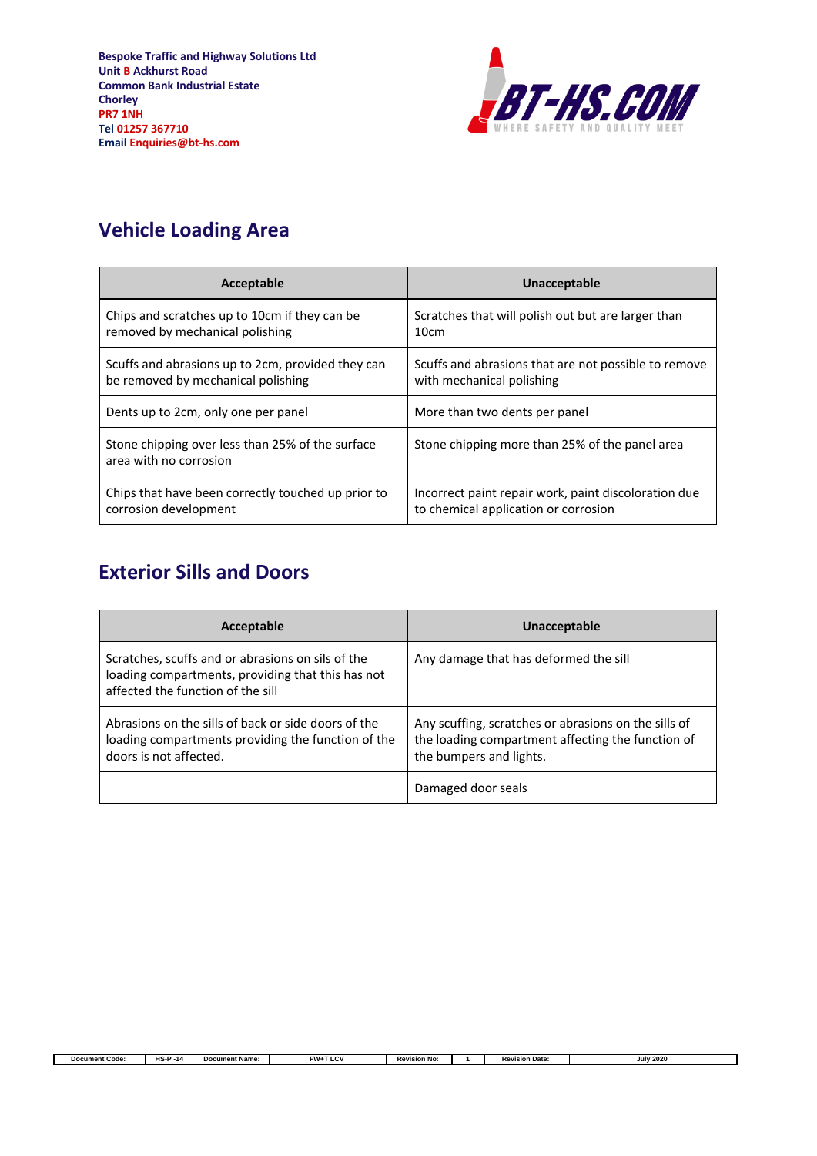

٦

## **Vehicle Loading Area**

| Acceptable                                                                 | Unacceptable                                         |
|----------------------------------------------------------------------------|------------------------------------------------------|
| Chips and scratches up to 10cm if they can be                              | Scratches that will polish out but are larger than   |
| removed by mechanical polishing                                            | 10cm                                                 |
| Scuffs and abrasions up to 2cm, provided they can                          | Scuffs and abrasions that are not possible to remove |
| be removed by mechanical polishing                                         | with mechanical polishing                            |
| Dents up to 2cm, only one per panel                                        | More than two dents per panel                        |
| Stone chipping over less than 25% of the surface<br>area with no corrosion | Stone chipping more than 25% of the panel area       |
| Chips that have been correctly touched up prior to                         | Incorrect paint repair work, paint discoloration due |
| corrosion development                                                      | to chemical application or corrosion                 |

### **Exterior Sills and Doors**

Г

| Acceptable                                                                                                                                  | Unacceptable                                                                                                                         |
|---------------------------------------------------------------------------------------------------------------------------------------------|--------------------------------------------------------------------------------------------------------------------------------------|
| Scratches, scuffs and or abrasions on sils of the<br>loading compartments, providing that this has not<br>affected the function of the sill | Any damage that has deformed the sill                                                                                                |
| Abrasions on the sills of back or side doors of the<br>loading compartments providing the function of the<br>doors is not affected.         | Any scuffing, scratches or abrasions on the sills of<br>the loading compartment affecting the function of<br>the bumpers and lights. |
|                                                                                                                                             | Damaged door seals                                                                                                                   |

**Document Code: HS-P -14 Document Name: FW+T LCV Revision No: 1 Revision Date: July 2020**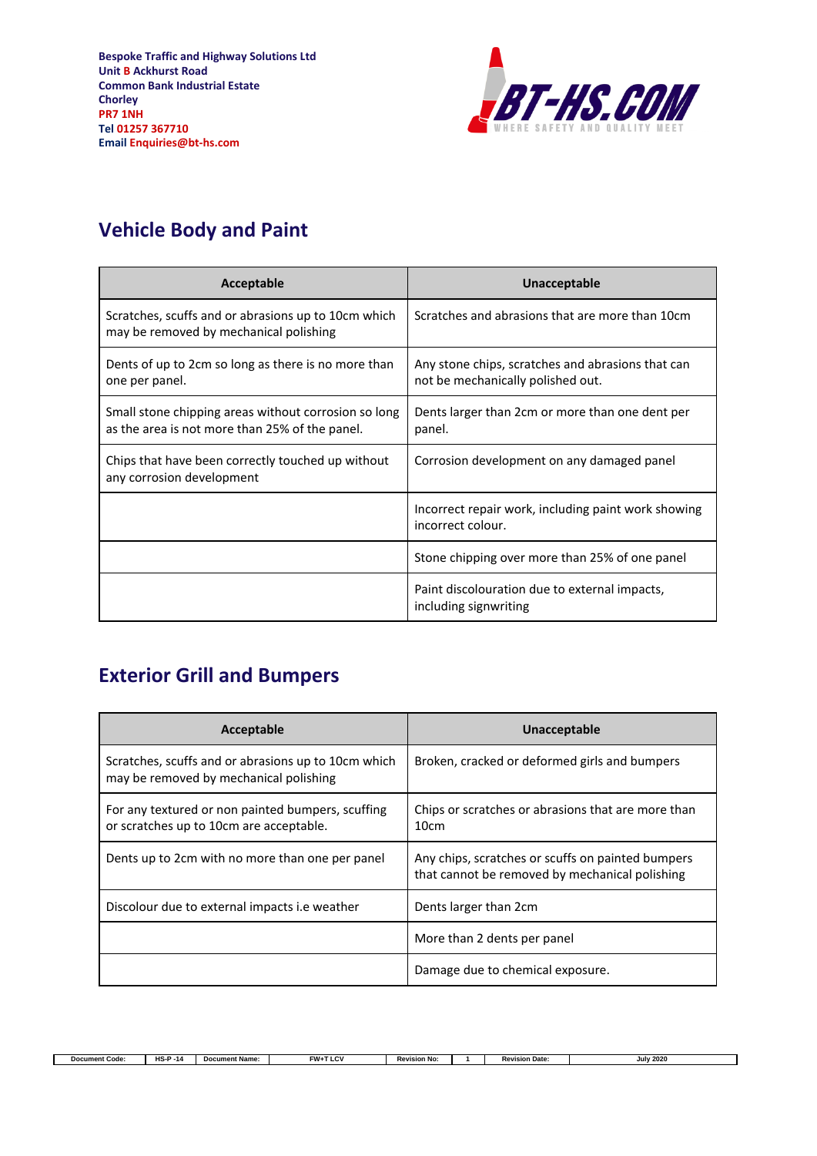

# **Vehicle Body and Paint**

| Acceptable                                                                                             | Unacceptable                                                                           |
|--------------------------------------------------------------------------------------------------------|----------------------------------------------------------------------------------------|
| Scratches, scuffs and or abrasions up to 10cm which<br>may be removed by mechanical polishing          | Scratches and abrasions that are more than 10cm                                        |
| Dents of up to 2cm so long as there is no more than<br>one per panel.                                  | Any stone chips, scratches and abrasions that can<br>not be mechanically polished out. |
| Small stone chipping areas without corrosion so long<br>as the area is not more than 25% of the panel. | Dents larger than 2cm or more than one dent per<br>panel.                              |
| Chips that have been correctly touched up without<br>any corrosion development                         | Corrosion development on any damaged panel                                             |
|                                                                                                        | Incorrect repair work, including paint work showing<br>incorrect colour.               |
|                                                                                                        | Stone chipping over more than 25% of one panel                                         |
|                                                                                                        | Paint discolouration due to external impacts,<br>including signwriting                 |

### **Exterior Grill and Bumpers**

| Acceptable                                                                                    | Unacceptable                                                                                        |
|-----------------------------------------------------------------------------------------------|-----------------------------------------------------------------------------------------------------|
| Scratches, scuffs and or abrasions up to 10cm which<br>may be removed by mechanical polishing | Broken, cracked or deformed girls and bumpers                                                       |
| For any textured or non painted bumpers, scuffing<br>or scratches up to 10cm are acceptable.  | Chips or scratches or abrasions that are more than<br>10cm                                          |
| Dents up to 2cm with no more than one per panel                                               | Any chips, scratches or scuffs on painted bumpers<br>that cannot be removed by mechanical polishing |
| Discolour due to external impacts i.e weather                                                 | Dents larger than 2cm                                                                               |
|                                                                                               | More than 2 dents per panel                                                                         |
|                                                                                               | Damage due to chemical exposure.                                                                    |

٦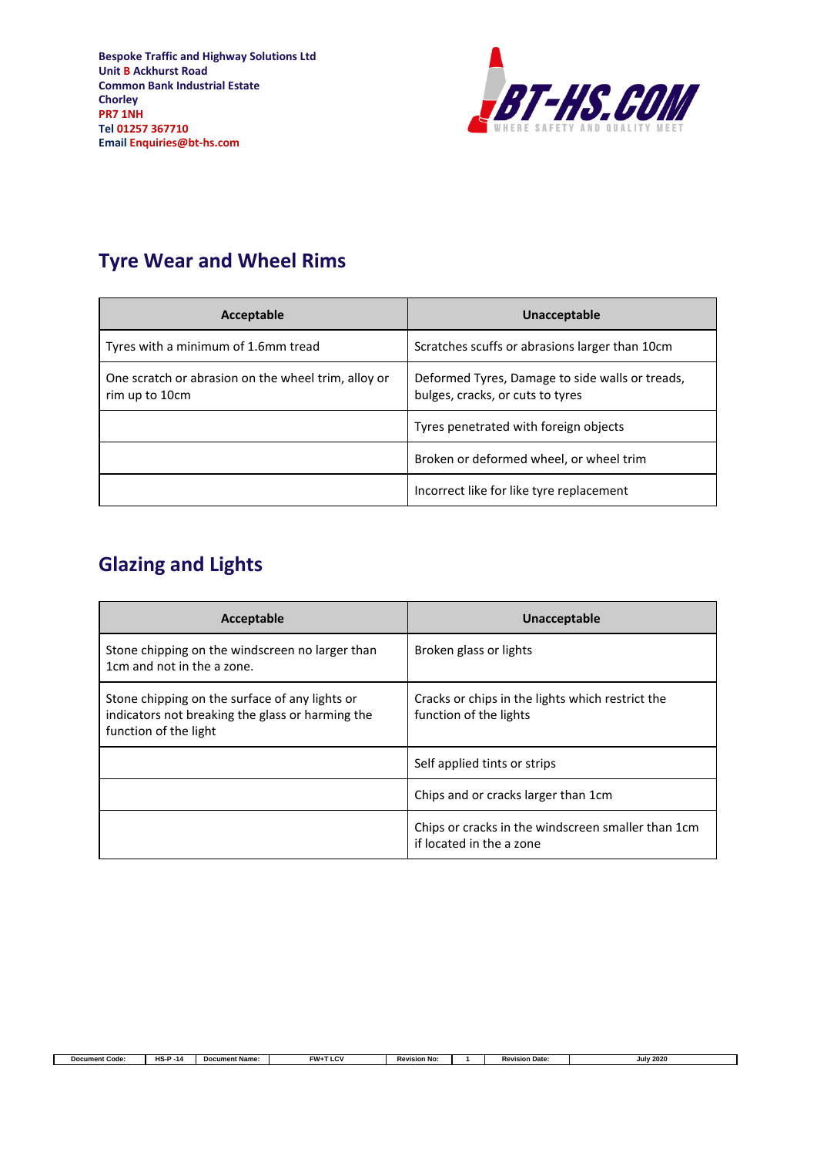

٦

## **Tyre Wear and Wheel Rims**

| Acceptable                                                            | Unacceptable                                                                        |
|-----------------------------------------------------------------------|-------------------------------------------------------------------------------------|
| Tyres with a minimum of 1.6mm tread                                   | Scratches scuffs or abrasions larger than 10cm                                      |
| One scratch or abrasion on the wheel trim, alloy or<br>rim up to 10cm | Deformed Tyres, Damage to side walls or treads,<br>bulges, cracks, or cuts to tyres |
|                                                                       | Tyres penetrated with foreign objects                                               |
|                                                                       | Broken or deformed wheel, or wheel trim                                             |
|                                                                       | Incorrect like for like tyre replacement                                            |

# **Glazing and Lights**

Г

| Acceptable                                                                                                                  | Unacceptable                                                                   |
|-----------------------------------------------------------------------------------------------------------------------------|--------------------------------------------------------------------------------|
| Stone chipping on the windscreen no larger than<br>1cm and not in the a zone.                                               | Broken glass or lights                                                         |
| Stone chipping on the surface of any lights or<br>indicators not breaking the glass or harming the<br>function of the light | Cracks or chips in the lights which restrict the<br>function of the lights     |
|                                                                                                                             | Self applied tints or strips                                                   |
|                                                                                                                             | Chips and or cracks larger than 1cm                                            |
|                                                                                                                             | Chips or cracks in the windscreen smaller than 1cm<br>if located in the a zone |